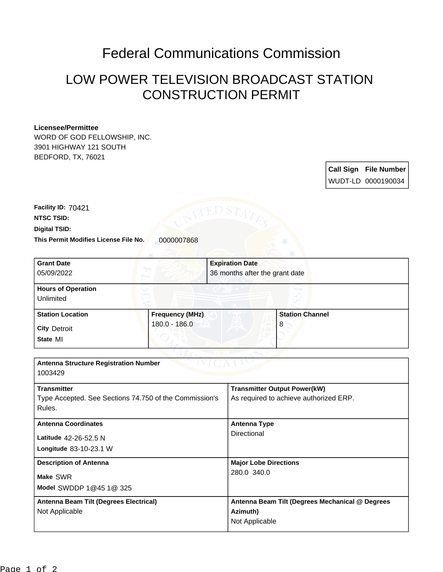## Federal Communications Commission

## LOW POWER TELEVISION BROADCAST STATION CONSTRUCTION PERMIT

## **Licensee/Permittee**

WORD OF GOD FELLOWSHIP, INC. 3901 HIGHWAY 121 SOUTH BEDFORD, TX, 76021

> **Call Sign File Number** WUDT-LD 0000190034

**Digital TSID: NTSC TSID: Facility ID:** 70421

**This Permit Modifies License File No.** 0000007868

| <b>Grant Date</b>                                      |                        | <b>Expiration Date</b>         |                                                 |  |
|--------------------------------------------------------|------------------------|--------------------------------|-------------------------------------------------|--|
| 05/09/2022                                             |                        | 36 months after the grant date |                                                 |  |
| <b>Hours of Operation</b>                              |                        |                                |                                                 |  |
| Unlimited                                              |                        |                                |                                                 |  |
| <b>Station Location</b>                                | <b>Frequency (MHz)</b> |                                | <b>Station Channel</b>                          |  |
| <b>City Detroit</b>                                    | 180.0 - 186.0          |                                | 8                                               |  |
| State MI                                               |                        |                                |                                                 |  |
|                                                        |                        |                                |                                                 |  |
| <b>Antenna Structure Registration Number</b>           |                        |                                |                                                 |  |
| 1003429                                                |                        |                                |                                                 |  |
| <b>Transmitter</b>                                     |                        |                                | <b>Transmitter Output Power(kW)</b>             |  |
| Type Accepted. See Sections 74.750 of the Commission's |                        |                                | As required to achieve authorized ERP.          |  |
| Rules.                                                 |                        |                                |                                                 |  |
| <b>Antenna Coordinates</b>                             |                        |                                | <b>Antenna Type</b>                             |  |
| Latitude 42-26-52.5 N                                  |                        |                                | Directional                                     |  |
| Longitude 83-10-23.1 W                                 |                        |                                |                                                 |  |
| <b>Description of Antenna</b>                          |                        |                                | <b>Major Lobe Directions</b>                    |  |
| Make SWR                                               |                        | 280.0 340.0                    |                                                 |  |
| Model SWDDP 1@45 1@ 325                                |                        |                                |                                                 |  |
| Antenna Beam Tilt (Degrees Electrical)                 |                        |                                | Antenna Beam Tilt (Degrees Mechanical @ Degrees |  |
| Not Applicable                                         |                        | Azimuth)                       |                                                 |  |
|                                                        |                        |                                | Not Applicable                                  |  |